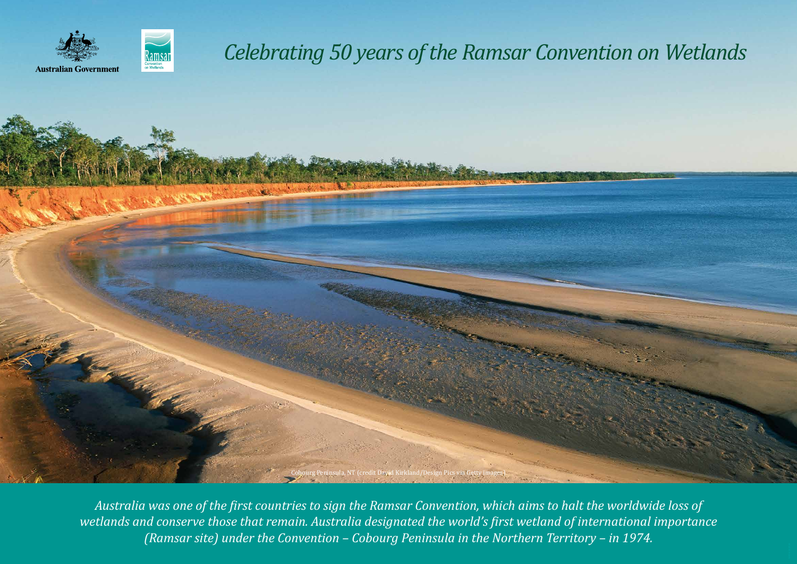

**Australian Government** 



*Australia was one of the first countries to sign the Ramsar Convention, which aims to halt the worldwide loss of wetlands and conserve those that remain. Australia designated the world's first wetland of international importance (Ramsar site) under the Convention – Cobourg Peninsula in the Northern Territory – in 1974.*

## *Celebrating 50 years of the Ramsar Convention on Wetlands*